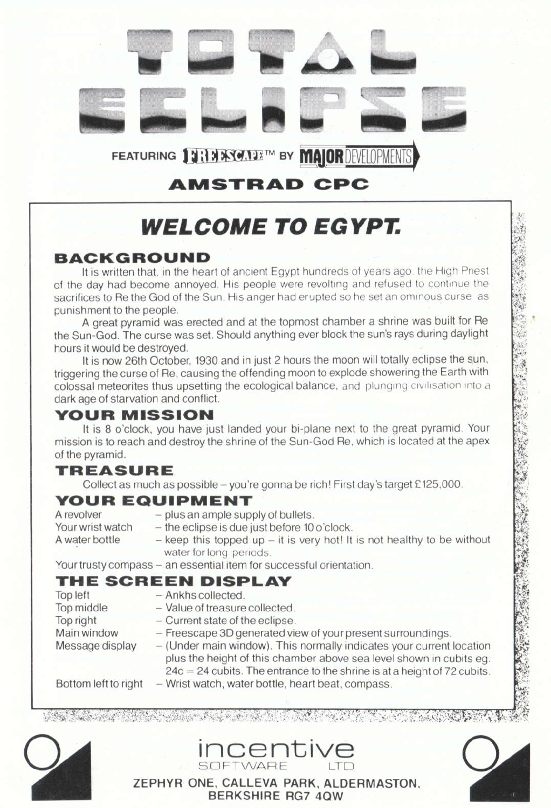

## **AMSTRAD CPC**

# **WELCOME TO EGYPT.**

#### **BACKGROUND**

It is written that, in the heart of ancient Egypt hundreds of years ago, the High Priest of the day had become annoved. His people were revolting and refused to continue the sacrifices to Re the God of the Sun. His anger had erupted so he set an ominous curse as punishment to the people.

A great pyramid was erected and at the topmost chamber a shrine was built for Re the Sun-God. The curse was set. Should anything ever block the sun's rays during daylight hours it would be destroyed.

It is now 26th October, 1930 and in just 2 hours the moon will totally eclipse the sun, triggering the curse of Re, causing the offending moon to explode showering the Earth with colossal meteorites thus upsetting the ecological balance, and plunging civilisation into a dark age of starvation and conflict.

#### **YOUR MISSION**

It is 8 o'clock, you have just landed your bi-plane next to the great pyramid. Your mission is to reach and destroy the shrine of the Sun-God Re, which is located at the apex of the pyramid.

### **TREASURE**

Collect as much as possible - you're gonna be rich! First day's target £125,000.

#### **YOUR EQUIPMENT**

A revolver Your wrist watch A water bottle

- plus an ample supply of bullets.
- the eclipse is due just before 10 o'clock.
	- $-$  keep this topped up  $-$  it is very hot! It is not healthy to be without water for long periods.

Your trusty compass - an essential item for successful orientation.

#### THE SCREEN DISPLAY

- Top left - Ankhs collected. - Value of treasure collected. Top middle Top right - Current state of the eclipse.
	-
- Main window - Freescape 3D generated view of your present surroundings.
- (Under main window). This normally indicates your current location Message display plus the height of this chamber above sea level shown in cubits eq.  $24c = 24$  cubits. The entrance to the shrine is at a height of 72 cubits. Bottom left to right - Wrist watch, water bottle, heart beat, compass.

<u> 1989 - John Albert Harry, maria amerikan bahasa (j. 1989)</u>





ZEPHYR ONE, CALLEVA PARK, ALDERMASTON. **BERKSHIRE RG7 40W** 

**INCENTIVE**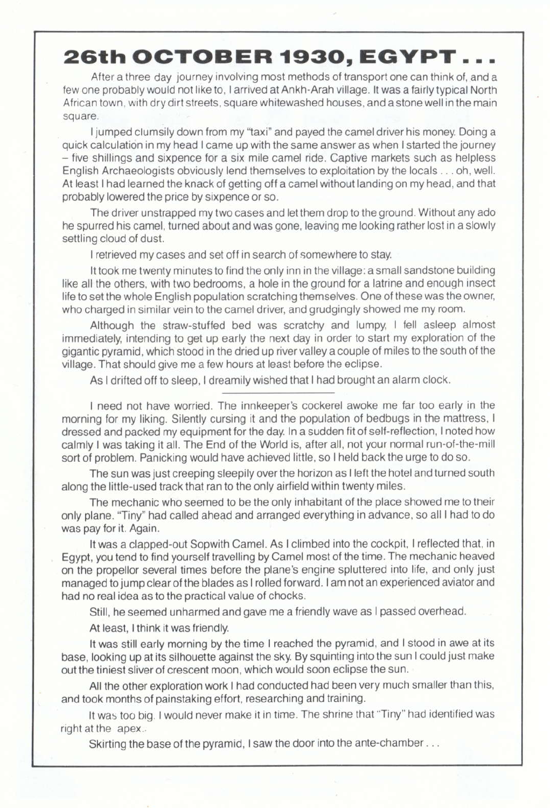## 26th OCTOBER 1930, EGYPT.

After a three day journey involving most methods of transport one can think of, and a few one probably would not like to, I arrived at Ankh-Arah village. It was a fairly typical North African town, with dry dirt streets, square whitewashed houses, and a stone well in the main square.

I jumped clumsily down from my "taxi" and payed the camel driver his money. Doing a quick calculation in my head I came up with the same answer as when I started the journey - five shillings and sixpence for a six mile camel ride. Captive markets such as helpless English Archaeologists obviously lend themselves to exploitation by the locals . . . oh, well. At least I had learned the knack of getting off a camel without landing on my head, and that probably lowered the price by sixpence or so.

The driver unstrapped my two cases and let them drop to the ground. Without any ado he spurred his camel, turned about and was gone, leaving me looking rather lost in a slowly settling cloud of dust.

I retrieved my cases and set off in search of somewhere to stay.

It took me twenty minutes to find the only inn in the village: a small sandstone building like all the others, with two bedrooms, a hole in the ground for a latrine and enough insect life to set the whole English population scratching themselves. One of these was the owner, who charged in similar vein to the camel driver, and grudgingly showed me my room.

Although the straw-stuffed bed was scratchy and lumpy, I fell asleep almost immediately, intending to get up early the next day in order to start my exploration of the gigantic pyramid, which stood in the dried up river valley a couple of miles to the south of the village. That should give me a few hours at least before the eclipse.

As I drifted off to sleep, I dreamily wished that I had brought an alarm clock.

I need not have worried. The innkeeper's cockerel awoke me far too early in the morning for my liking. Silently cursing it and the population of bedbugs in the mattress, <sup>I</sup> dressed and packed my equipment for the day. In a sudden fit of self-reflection, I noted how calmly I was taking it all. The End of the World is, after all, not your normal run-of-the-mill sort of problem. Panicking would have achieved little, so I held back the urge to do so.

The sun was just creeping sleepily over the horizon as I left the hotel and turned south along the little-used track that ran to the only airfield within twenty miles.

The mechanic who seemed to be the only inhabitant of the place showed me to their only plane. "Tiny" had called ahead and arranged everything in advance, so all I had to do was pay for it. Again.

It was a clapped-out Sopwith Camel. As I climbed into the cockpit, I reflected that, in Egypt, you tend to find yourself travelling by Camel most of the time. The mechanic heaved on the propellor several times before the plane's engine spluttered into life, and only just managed to jump clear of the blades as I rolled forward. I am not an experienced aviator and had no real idea as to the practical value of chocks.

Still, he seemed unharmed and gave me a friendly wave as I passed overhead.

At least, I think it was friendly.

It was still early morning by the time I reached the pyramid, and I stood in awe al its base, looking up at its silhouette against the sky. By squinting into the sun I could just make out the tiniest sliver of crescent moon, which would soon eclipse the sun.

All the other exploration work I had conducted had been very much smaller than this, and took months of painstaking effort, researching and training.

It was too big. I would never make it in time. The shrine that "Tiny" had identified was right at the apex.

Skirting the base of the pyramid, I saw the door into the ante-chamber . . .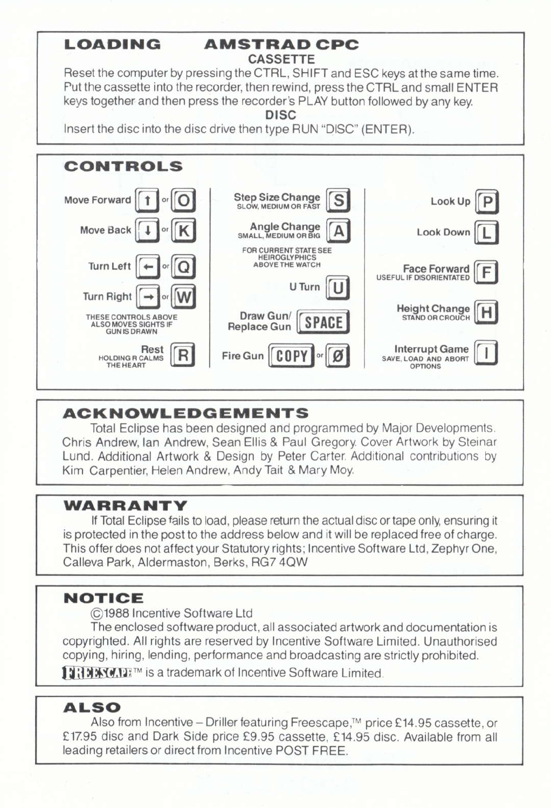#### **LOADING**

#### **AMSTRAD CPC CASSETTE**

Reset the computer by pressing the CTRL, SHIFT and ESC keys at the same time. Put the cassette into the recorder, then rewind, press the CTRL and small ENTER keys together and then press the recorder's PLAY button followed by any key.

**DISC** 

Insert the disc into the disc drive then type RUN "DISC" (ENTER).



#### **ACKNOWLEDGEMENTS**

Total Eclipse has been designed and programmed by Maior Developments. Chris Andrew, Ian Andrew, Sean Ellis & Paul Gregory, Cover Artwork by Steinar Lund, Additional Artwork & Design by Peter Carter, Additional contributions by Kim Carpentier, Helen Andrew, Andy Tait & Mary Moy.

#### WARRANTY

If Total Eclipse fails to load, please return the actual disc or tape only, ensuring it is protected in the post to the address below and it will be replaced free of charge. This offer does not affect your Statutory rights: Incentive Software Ltd. Zephyr One. Calleva Park, Aldermaston, Berks, RG7 4QW

### **NOTICE**

C1988 Incentive Software Ltd

The enclosed software product, all associated artwork and documentation is copyrighted. All rights are reserved by Incentive Software Limited. Unauthorised copying, hiring, lending, performance and broadcasting are strictly prohibited.

11:1 MAY MTE™ is a trademark of Incentive Software Limited.

#### **ALSO**

Also from Incentive – Driller featuring Freescape,™ price £14.95 cassette, or £17.95 disc and Dark Side price £9.95 cassette, £14.95 disc. Available from all leading retailers or direct from Incentive POST FREE.